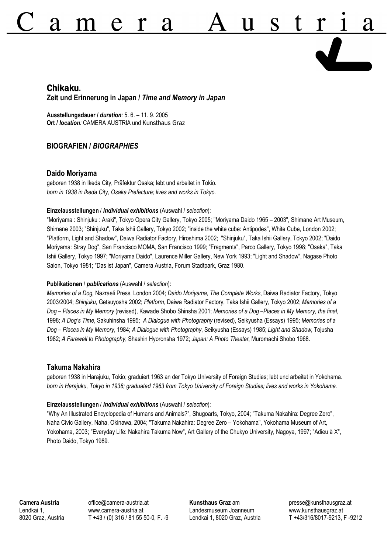# $\boldsymbol{\mathcal{A}}$  $\boldsymbol{\mathcal{A}}$

# **Chikaku. Zeit und Erinnerung in Japan /** *Time and Memory in Japan*

**Ausstellungsdauer /** *duration:* 5. 6. – 11. 9. 2005 **Ort /** *location:* CAMERA AUSTRIA und Kunsthaus Graz

## **BIOGRAFIEN /** *BIOGRAPHIES*

## **Daido Moriyama**

geboren 1938 in Ikeda City, Präfektur Osaka; lebt und arbeitet in Tokio. *born in 1938 in Ikeda City, Osaka Prefecture; lives and works in Tokyo.*

### **Einzelausstellungen** / *individual exhibitions* (Auswahl / *selection*):

"Moriyama : Shinjuku : Araki", Tokyo Opera City Gallery, Tokyo 2005; "Moriyama Daido 1965 – 2003", Shimane Art Museum, Shimane 2003; "Shinjuku", Taka Ishii Gallery, Tokyo 2002; "inside the white cube: Antipodes", White Cube, London 2002; "Platform, Light and Shadow", Daiwa Radiator Factory, Hiroshima 2002; "Shinjuku", Taka Ishii Gallery, Tokyo 2002; "Daido Moriyama: Stray Dog", San Francisco MOMA, San Francisco 1999; "Fragments", Parco Gallery, Tokyo 1998; "Osaka", Taka Ishii Gallery, Tokyo 1997; "Moriyama Daido", Laurence Miller Gallery, New York 1993; "Light and Shadow", Nagase Photo Salon, Tokyo 1981; "Das ist Japan", Camera Austria, Forum Stadtpark, Graz 1980.

#### **Publikationen** / *publications* (Auswahl / *selection*):

*Memories of a Dog,* Nazraeli Press, London 2004; *Daido Moriyama, The Complete Works*, Daiwa Radiator Factory, Tokyo 2003/2004; *Shinjuku*, Getsuyosha 2002; *Platform*, Daiwa Radiator Factory, Taka Ishii Gallery, Tokyo 2002; *Memories of a Dog – Places in My Memory* (revised), Kawade Shobo Shinsha 2001; *Memories of a Dog –Places in My Memory, the final*, 1998; *A Dog's Time*, Sakuhinsha 1995; *A Dialogue with Photography* (revised), Seikyusha (Essays) 1995; *Memories of a Dog – Places in My Memory*, 1984; *A Dialogue with Photography*, Seikyusha (Essays) 1985; *Light and Shadow*, Tojusha 1982; *A Farewell to Photography*, Shashin Hyoronsha 1972; *Japan: A Photo Theater*, Muromachi Shobo 1968.

## **Takuma Nakahira**

geboren 1938 in Harajuku, Tokio; graduiert 1963 an der Tokyo University of Foreign Studies; lebt und arbeitet in Yokohama. *born in Harajuku, Tokyo in 1938; graduated 1963 from Tokyo University of Foreign Studies; lives and works in Yokohama.*

#### **Einzelausstellungen** / *individual exhibitions* (Auswahl / *selection*):

"Why An Illustrated Encyclopedia of Humans and Animals?", Shugoarts, Tokyo, 2004; "Takuma Nakahira: Degree Zero", Naha Civic Gallery, Naha, Okinawa, 2004; "Takuma Nakahira: Degree Zero – Yokohama", Yokohama Museum of Art, Yokohama, 2003; "Everyday Life: Nakahira Takuma Now", Art Gallery of the Chukyo University, Nagoya, 1997; "Adieu à X", Photo Daido, Tokyo 1989.

**Camera Austria** Lendkai 1, 8020 Graz, Austria office@camera-austria.at www.camera-austria.at T +43 / (0) 316 / 81 55 50-0, F. -9 **Kunsthaus Graz** am Landesmuseum Joanneum Lendkai 1, 8020 Graz, Austria presse@kunsthausgraz.at www.kunsthausgraz.at T +43/316/8017-9213, F -9212